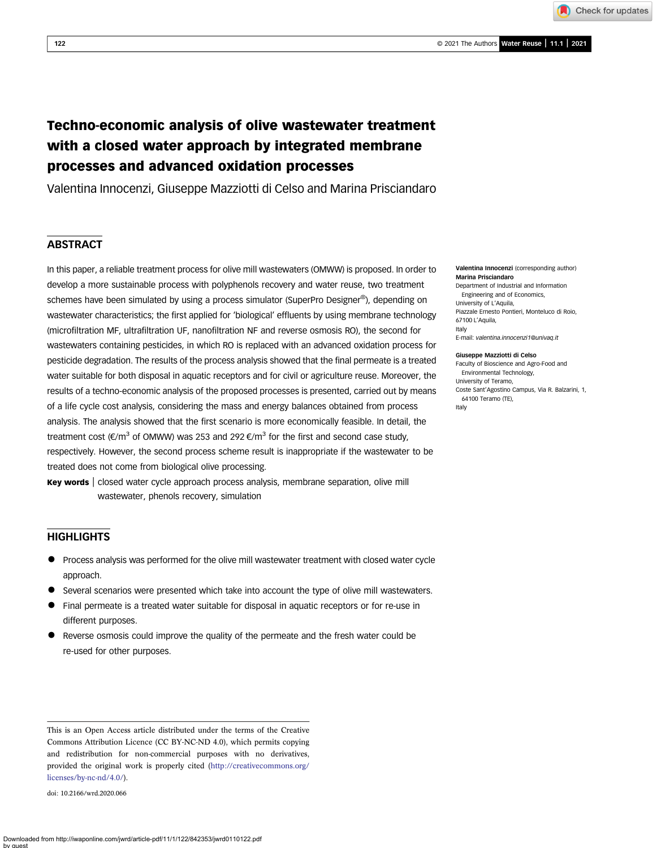Check for updates

# Techno-economic analysis of olive wastewater treatment with a closed water approach by integrated membrane processes and advanced oxidation processes

Valentina Innocenzi, Giuseppe Mazziotti di Celso and Marina Prisciandaro

# **ABSTRACT**

In this paper, a reliable treatment process for olive mill wastewaters (OMWW) is proposed. In order to develop a more sustainable process with polyphenols recovery and water reuse, two treatment schemes have been simulated by using a process simulator (SuperPro Designer®), depending on wastewater characteristics; the first applied for 'biological' effluents by using membrane technology (microfiltration MF, ultrafiltration UF, nanofiltration NF and reverse osmosis RO), the second for wastewaters containing pesticides, in which RO is replaced with an advanced oxidation process for pesticide degradation. The results of the process analysis showed that the final permeate is a treated water suitable for both disposal in aquatic receptors and for civil or agriculture reuse. Moreover, the results of a techno-economic analysis of the proposed processes is presented, carried out by means of a life cycle cost analysis, considering the mass and energy balances obtained from process analysis. The analysis showed that the first scenario is more economically feasible. In detail, the treatment cost ( $\epsilon/m^3$  of OMWW) was 253 and 292  $\epsilon/m^3$  for the first and second case study, respectively. However, the second process scheme result is inappropriate if the wastewater to be treated does not come from biological olive processing.

Key words | closed water cycle approach process analysis, membrane separation, olive mill wastewater, phenols recovery, simulation

# **HIGHLIGHTS**

- Process analysis was performed for the olive mill wastewater treatment with closed water cycle approach.
- Several scenarios were presented which take into account the type of olive mill wastewaters.
- Final permeate is a treated water suitable for disposal in aquatic receptors or for re-use in different purposes.
- Reverse osmosis could improve the quality of the permeate and the fresh water could be re-used for other purposes.

doi: 10.2166/wrd.2020.066

#### Valentina Innocenzi (corresponding author) Marina Prisciandaro

Department of Industrial and Information Engineering and of Economics, University of L'Aquila, Piazzale Ernesto Pontieri, Monteluco di Roio, 67100 L'Aquila, Italy E-mail: [valentina.innocenzi1@univaq.it](mailto:valentina.innocenzi1@univaq.it)

#### Giuseppe Mazziotti di Celso

Faculty of Bioscience and Agro-Food and Environmental Technology, University of Teramo, Coste Sant'Agostino Campus, Via R. Balzarini, 1, 64100 Teramo (TE), Italy

This is an Open Access article distributed under the terms of the Creative Commons Attribution Licence (CC BY-NC-ND 4.0), which permits copying and redistribution for non-commercial purposes with no derivatives, provided the original work is properly cited [\(http://creativecommons.org/](http://creativecommons.org/licenses/by-nc-nd/4.0/) [licenses/by-nc-nd/4.0/\)](http://creativecommons.org/licenses/by-nc-nd/4.0/).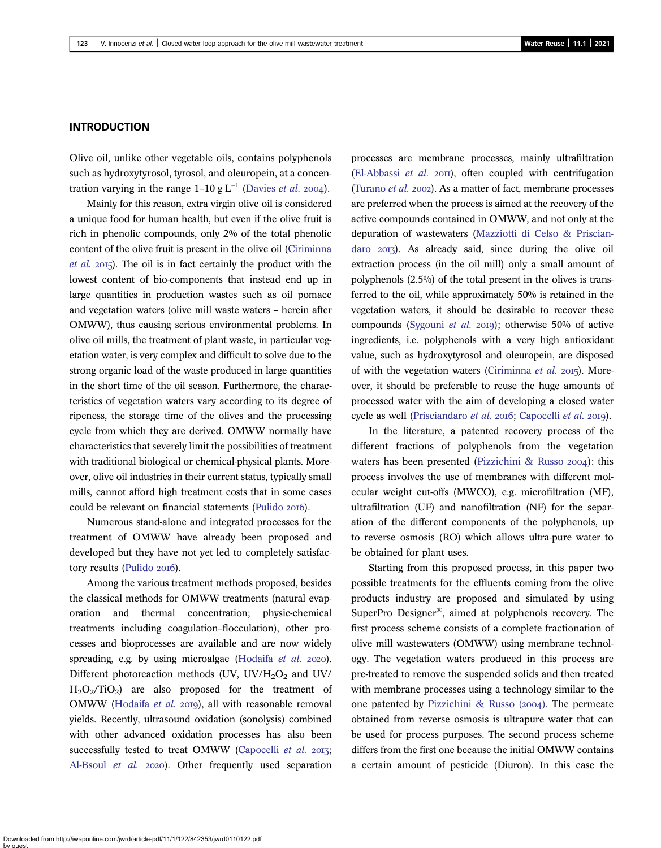### INTRODUCTION

Olive oil, unlike other vegetable oils, contains polyphenols such as hydroxytyrosol, tyrosol, and oleuropein, at a concentration varying in the range  $1-10$  g  $L^{-1}$  ([Davies](#page-13-0) *et al.* 2004).

Mainly for this reason, extra virgin olive oil is considered a unique food for human health, but even if the olive fruit is rich in phenolic compounds, only 2% of the total phenolic content of the olive fruit is present in the olive oil ([Ciriminna](#page-13-0) [et al.](#page-13-0) 2015). The oil is in fact certainly the product with the lowest content of bio-components that instead end up in large quantities in production wastes such as oil pomace and vegetation waters (olive mill waste waters – herein after OMWW), thus causing serious environmental problems. In olive oil mills, the treatment of plant waste, in particular vegetation water, is very complex and difficult to solve due to the strong organic load of the waste produced in large quantities in the short time of the oil season. Furthermore, the characteristics of vegetation waters vary according to its degree of ripeness, the storage time of the olives and the processing cycle from which they are derived. OMWW normally have characteristics that severely limit the possibilities of treatment with traditional biological or chemical-physical plants. Moreover, olive oil industries in their current status, typically small mills, cannot afford high treatment costs that in some cases could be relevant on financial statements [\(Pulido](#page-13-0) 2016).

Numerous stand-alone and integrated processes for the treatment of OMWW have already been proposed and developed but they have not yet led to completely satisfac-tory results [\(Pulido](#page-13-0) 2016).

Among the various treatment methods proposed, besides the classical methods for OMWW treatments (natural evaporation and thermal concentration; physic-chemical treatments including coagulation–flocculation), other processes and bioprocesses are available and are now widely spreading, e.g. by using microalgae ([Hodaifa](#page-13-0)  $et$   $al.$  2020). Different photoreaction methods (UV, UV/H<sub>2</sub>O<sub>2</sub> and UV/  $H_2O_2/TiO_2$  are also proposed for the treatment of OMWW ([Hodaifa](#page-13-0) et al. 2019), all with reasonable removal yields. Recently, ultrasound oxidation (sonolysis) combined with other advanced oxidation processes has also been successfully tested to treat OMWW ([Capocelli](#page-13-0) et al. 2013; [Al-Bsoul](#page-13-0) et al. 2020). Other frequently used separation

processes are membrane processes, mainly ultrafiltration [\(El-Abbassi](#page-13-0)  $et$  al.  $20\text{II}$ ), often coupled with centrifugation [\(Turano](#page-13-0) et al. 2002). As a matter of fact, membrane processes are preferred when the process is aimed at the recovery of the active compounds contained in OMWW, and not only at the depuration of wastewaters [\(Mazziotti di Celso & Priscian](#page-13-0)[daro](#page-13-0) 2013). As already said, since during the olive oil extraction process (in the oil mill) only a small amount of polyphenols (2.5%) of the total present in the olives is transferred to the oil, while approximately 50% is retained in the vegetation waters, it should be desirable to recover these compounds ([Sygouni](#page-13-0) et al. 2019); otherwise 50% of active ingredients, i.e. polyphenols with a very high antioxidant value, such as hydroxytyrosol and oleuropein, are disposed of with the vegetation waters ([Ciriminna](#page-13-0) et al. 2015). Moreover, it should be preferable to reuse the huge amounts of processed water with the aim of developing a closed water cycle as well [\(Prisciandaro](#page-13-0) et al. 2016; [Capocelli](#page-13-0) et al. 2019).

In the literature, a patented recovery process of the different fractions of polyphenols from the vegetation waters has been presented [\(Pizzichini & Russo](#page-13-0)  $2004$ ): this process involves the use of membranes with different molecular weight cut-offs (MWCO), e.g. microfiltration (MF), ultrafiltration (UF) and nanofiltration (NF) for the separation of the different components of the polyphenols, up to reverse osmosis (RO) which allows ultra-pure water to be obtained for plant uses.

Starting from this proposed process, in this paper two possible treatments for the effluents coming from the olive products industry are proposed and simulated by using SuperPro Designer®, aimed at polyphenols recovery. The first process scheme consists of a complete fractionation of olive mill wastewaters (OMWW) using membrane technology. The vegetation waters produced in this process are pre-treated to remove the suspended solids and then treated with membrane processes using a technology similar to the one patented by Pizzichini & Russo  $(2004)$ . The permeate obtained from reverse osmosis is ultrapure water that can be used for process purposes. The second process scheme differs from the first one because the initial OMWW contains a certain amount of pesticide (Diuron). In this case the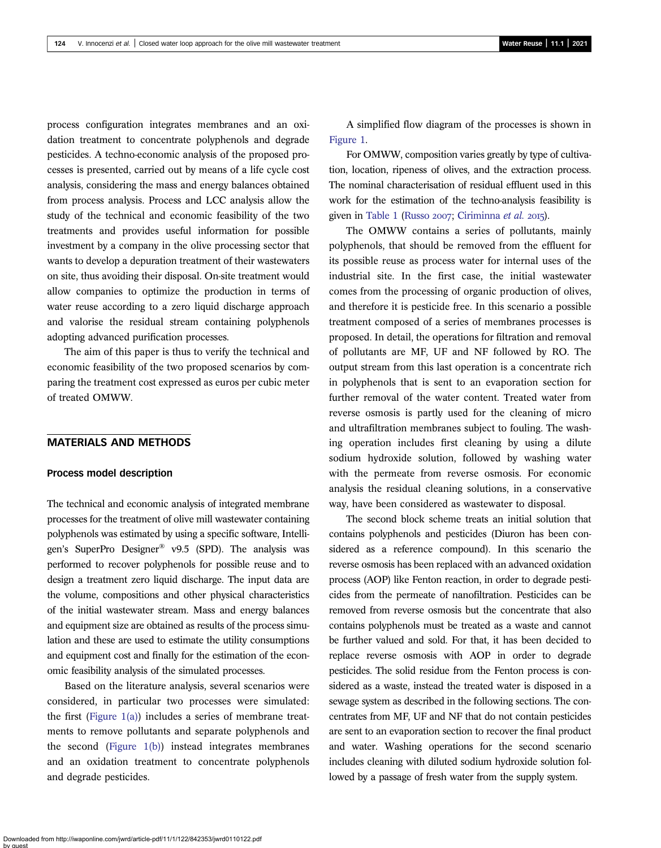process configuration integrates membranes and an oxidation treatment to concentrate polyphenols and degrade pesticides. A techno-economic analysis of the proposed processes is presented, carried out by means of a life cycle cost analysis, considering the mass and energy balances obtained from process analysis. Process and LCC analysis allow the study of the technical and economic feasibility of the two treatments and provides useful information for possible investment by a company in the olive processing sector that wants to develop a depuration treatment of their wastewaters on site, thus avoiding their disposal. On-site treatment would allow companies to optimize the production in terms of water reuse according to a zero liquid discharge approach and valorise the residual stream containing polyphenols adopting advanced purification processes.

The aim of this paper is thus to verify the technical and economic feasibility of the two proposed scenarios by comparing the treatment cost expressed as euros per cubic meter of treated OMWW.

### MATERIALS AND METHODS

# Process model description

The technical and economic analysis of integrated membrane processes for the treatment of olive mill wastewater containing polyphenols was estimated by using a specific software, Intelligen's SuperPro Designer® v9.5 (SPD). The analysis was performed to recover polyphenols for possible reuse and to design a treatment zero liquid discharge. The input data are the volume, compositions and other physical characteristics of the initial wastewater stream. Mass and energy balances and equipment size are obtained as results of the process simulation and these are used to estimate the utility consumptions and equipment cost and finally for the estimation of the economic feasibility analysis of the simulated processes.

Based on the literature analysis, several scenarios were considered, in particular two processes were simulated: the first (Figure  $1(a)$ ) includes a series of membrane treatments to remove pollutants and separate polyphenols and the second (Figure  $1(b)$ ) instead integrates membranes and an oxidation treatment to concentrate polyphenols and degrade pesticides.

A simplified flow diagram of the processes is shown in [Figure 1.](#page-3-0)

For OMWW, composition varies greatly by type of cultivation, location, ripeness of olives, and the extraction process. The nominal characterisation of residual effluent used in this work for the estimation of the techno-analysis feasibility is given in [Table 1](#page-4-0) [\(Russo](#page-13-0) 2007; [Ciriminna](#page-13-0) et al. 2015).

The OMWW contains a series of pollutants, mainly polyphenols, that should be removed from the effluent for its possible reuse as process water for internal uses of the industrial site. In the first case, the initial wastewater comes from the processing of organic production of olives, and therefore it is pesticide free. In this scenario a possible treatment composed of a series of membranes processes is proposed. In detail, the operations for filtration and removal of pollutants are MF, UF and NF followed by RO. The output stream from this last operation is a concentrate rich in polyphenols that is sent to an evaporation section for further removal of the water content. Treated water from reverse osmosis is partly used for the cleaning of micro and ultrafiltration membranes subject to fouling. The washing operation includes first cleaning by using a dilute sodium hydroxide solution, followed by washing water with the permeate from reverse osmosis. For economic analysis the residual cleaning solutions, in a conservative way, have been considered as wastewater to disposal.

The second block scheme treats an initial solution that contains polyphenols and pesticides (Diuron has been considered as a reference compound). In this scenario the reverse osmosis has been replaced with an advanced oxidation process (AOP) like Fenton reaction, in order to degrade pesticides from the permeate of nanofiltration. Pesticides can be removed from reverse osmosis but the concentrate that also contains polyphenols must be treated as a waste and cannot be further valued and sold. For that, it has been decided to replace reverse osmosis with AOP in order to degrade pesticides. The solid residue from the Fenton process is considered as a waste, instead the treated water is disposed in a sewage system as described in the following sections. The concentrates from MF, UF and NF that do not contain pesticides are sent to an evaporation section to recover the final product and water. Washing operations for the second scenario includes cleaning with diluted sodium hydroxide solution followed by a passage of fresh water from the supply system.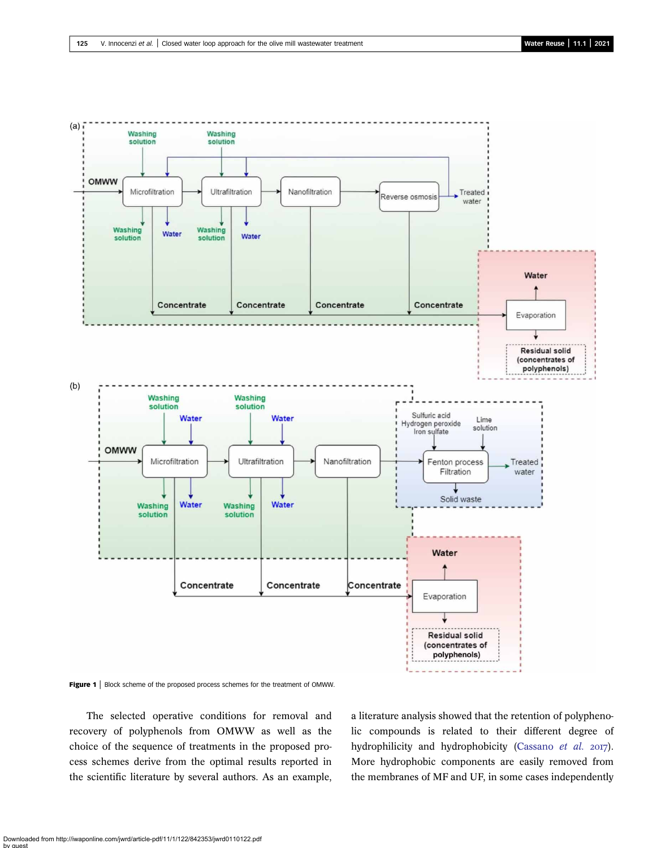<span id="page-3-0"></span>

Figure 1 | Block scheme of the proposed process schemes for the treatment of OMWW.

The selected operative conditions for removal and recovery of polyphenols from OMWW as well as the choice of the sequence of treatments in the proposed process schemes derive from the optimal results reported in the scientific literature by several authors. As an example,

a literature analysis showed that the retention of polyphenolic compounds is related to their different degree of hydrophilicity and hydrophobicity ([Cassano](#page-13-0) et al. 2017). More hydrophobic components are easily removed from the membranes of MF and UF, in some cases independently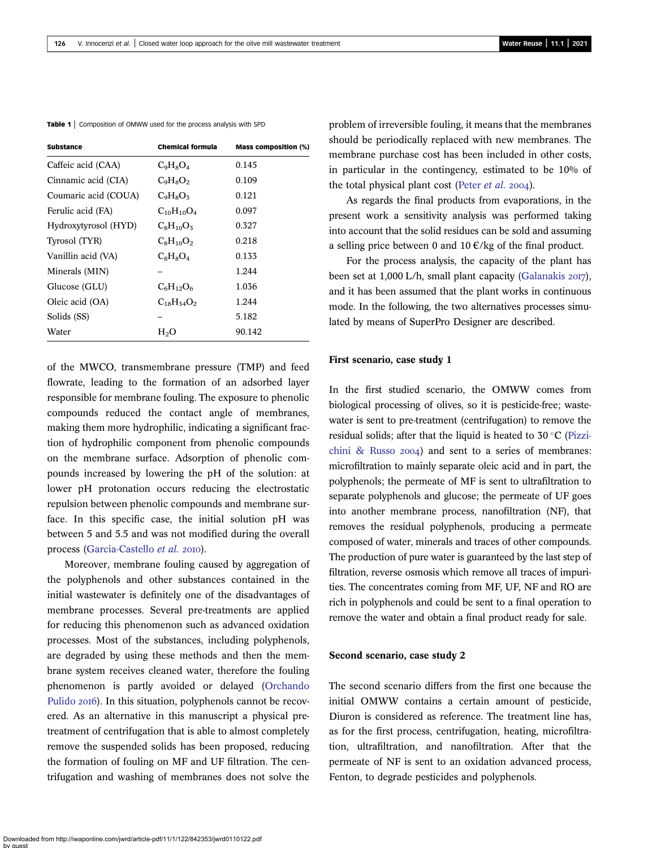| <b>Substance</b>     | <b>Chemical formula</b> | <b>Mass composition (%)</b> |  |
|----------------------|-------------------------|-----------------------------|--|
| Caffeic acid (CAA)   | $C_9H_8O_4$             | 0.145                       |  |
| Cinnamic acid (CIA)  | $C_9H_8O_2$             | 0.109                       |  |
| Coumaric acid (COUA) | $C_9H_8O_5$             | 0.121                       |  |
| Ferulic acid (FA)    | $C_{10}H_{10}O_4$       | 0.097                       |  |
| Hydroxytyrosol (HYD) | $C_8H_{10}O_3$          | 0.327                       |  |
| Tyrosol (TYR)        | $C_8H_{10}O_2$          | 0.218                       |  |
| Vanillin acid (VA)   | $C_8H_8O_4$             | 0.133                       |  |
| Minerals (MIN)       |                         | 1.244                       |  |
| Glucose (GLU)        | $C_6H_{12}O_6$          | 1.036                       |  |
| Oleic acid (OA)      | $C_{18}H_{54}O_2$       | 1.244                       |  |
| Solids (SS)          |                         | 5.182                       |  |
| Water                | $H_2O$                  | 90.142                      |  |
|                      |                         |                             |  |

<span id="page-4-0"></span>Table 1 | Composition of OMWW used for the process analysis with SPD

of the MWCO, transmembrane pressure (TMP) and feed flowrate, leading to the formation of an adsorbed layer responsible for membrane fouling. The exposure to phenolic compounds reduced the contact angle of membranes, making them more hydrophilic, indicating a significant fraction of hydrophilic component from phenolic compounds on the membrane surface. Adsorption of phenolic compounds increased by lowering the pH of the solution: at lower pH protonation occurs reducing the electrostatic repulsion between phenolic compounds and membrane surface. In this specific case, the initial solution pH was between 5 and 5.5 and was not modified during the overall process ([Garcia-Castello](#page-13-0) et al. 2010).

Moreover, membrane fouling caused by aggregation of the polyphenols and other substances contained in the initial wastewater is definitely one of the disadvantages of membrane processes. Several pre-treatments are applied for reducing this phenomenon such as advanced oxidation processes. Most of the substances, including polyphenols, are degraded by using these methods and then the membrane system receives cleaned water, therefore the fouling phenomenon is partly avoided or delayed [\(Orchando](#page-13-0) [Pulido](#page-13-0) 2016). In this situation, polyphenols cannot be recovered. As an alternative in this manuscript a physical pretreatment of centrifugation that is able to almost completely remove the suspended solids has been proposed, reducing the formation of fouling on MF and UF filtration. The centrifugation and washing of membranes does not solve the problem of irreversible fouling, it means that the membranes should be periodically replaced with new membranes. The membrane purchase cost has been included in other costs, in particular in the contingency, estimated to be 10% of the total physical plant cost ([Peter](#page-13-0)  $et$   $al.$  2004).

As regards the final products from evaporations, in the present work a sensitivity analysis was performed taking into account that the solid residues can be sold and assuming a selling price between 0 and  $10 \in \ell$  kg of the final product.

For the process analysis, the capacity of the plant has been set at  $1,000$  L/h, small plant capacity ([Galanakis](#page-13-0) 2017), and it has been assumed that the plant works in continuous mode. In the following, the two alternatives processes simulated by means of SuperPro Designer are described.

#### First scenario, case study 1

In the first studied scenario, the OMWW comes from biological processing of olives, so it is pesticide-free; wastewater is sent to pre-treatment (centrifugation) to remove the residual solids; after that the liquid is heated to  $30^{\circ}$ C ([Pizzi](#page-13-0)[chini & Russo](#page-13-0)  $2004$ ) and sent to a series of membranes: microfiltration to mainly separate oleic acid and in part, the polyphenols; the permeate of MF is sent to ultrafiltration to separate polyphenols and glucose; the permeate of UF goes into another membrane process, nanofiltration (NF), that removes the residual polyphenols, producing a permeate composed of water, minerals and traces of other compounds. The production of pure water is guaranteed by the last step of filtration, reverse osmosis which remove all traces of impurities. The concentrates coming from MF, UF, NF and RO are rich in polyphenols and could be sent to a final operation to remove the water and obtain a final product ready for sale.

#### Second scenario, case study 2

The second scenario differs from the first one because the initial OMWW contains a certain amount of pesticide, Diuron is considered as reference. The treatment line has, as for the first process, centrifugation, heating, microfiltration, ultrafiltration, and nanofiltration. After that the permeate of NF is sent to an oxidation advanced process, Fenton, to degrade pesticides and polyphenols.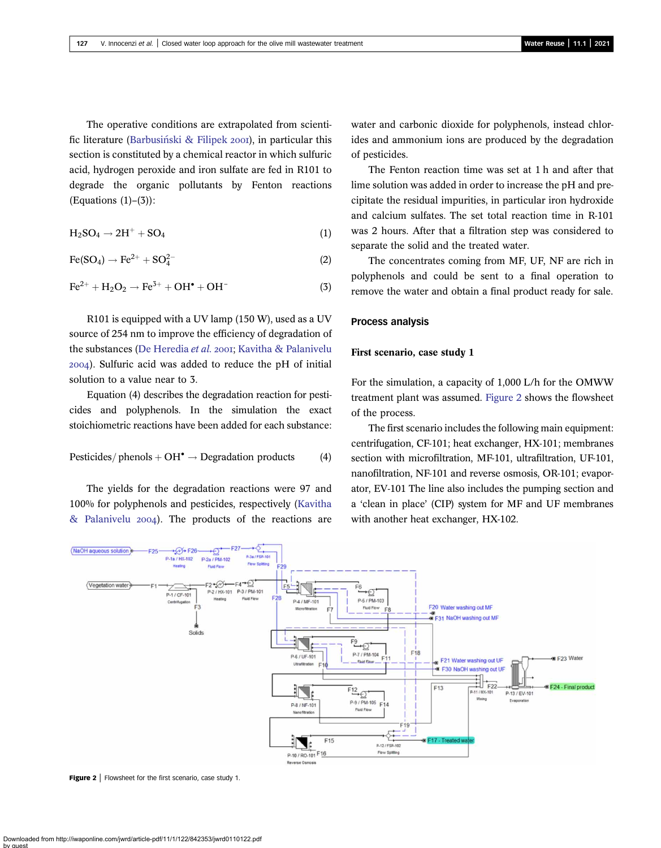<span id="page-5-0"></span>The operative conditions are extrapolated from scientific literature (Barbusiński & Filipek 2001), in particular this section is constituted by a chemical reactor in which sulfuric acid, hydrogen peroxide and iron sulfate are fed in R101 to degrade the organic pollutants by Fenton reactions  $(Equations (1)-(3))$ :

$$
H_2SO_4 \to 2H^+ + SO_4 \tag{1}
$$

$$
\text{Fe(SO}_4) \rightarrow \text{Fe}^{2+} + \text{SO}_4^{2-} \tag{2}
$$

$$
\text{Fe}^{2+} + \text{H}_2\text{O}_2 \rightarrow \text{Fe}^{3+} + \text{OH}^{\bullet} + \text{OH}^{-} \tag{3}
$$

R101 is equipped with a UV lamp (150 W), used as a UV source of 254 nm to improve the efficiency of degradation of the substances [\(De Heredia](#page-13-0) et al. 2001; [Kavitha & Palanivelu](#page-13-0) ). Sulfuric acid was added to reduce the pH of initial solution to a value near to 3.

Equation (4) describes the degradation reaction for pesticides and polyphenols. In the simulation the exact stoichiometric reactions have been added for each substance:

Pesticides/ phenols + 
$$
OH^{\bullet}
$$
  $\rightarrow$  Degradation products (4)

The yields for the degradation reactions were 97 and 100% for polyphenols and pesticides, respectively [\(Kavitha](#page-13-0) [& Palanivelu](#page-13-0) 2004). The products of the reactions are water and carbonic dioxide for polyphenols, instead chlorides and ammonium ions are produced by the degradation of pesticides.

The Fenton reaction time was set at 1 h and after that lime solution was added in order to increase the pH and precipitate the residual impurities, in particular iron hydroxide and calcium sulfates. The set total reaction time in R-101 was 2 hours. After that a filtration step was considered to separate the solid and the treated water.

The concentrates coming from MF, UF, NF are rich in polyphenols and could be sent to a final operation to remove the water and obtain a final product ready for sale.

### Process analysis

#### First scenario, case study 1

For the simulation, a capacity of 1,000 L/h for the OMWW treatment plant was assumed. Figure 2 shows the flowsheet of the process.

The first scenario includes the following main equipment: centrifugation, CF-101; heat exchanger, HX-101; membranes section with microfiltration, MF-101, ultrafiltration, UF-101, nanofiltration, NF-101 and reverse osmosis, OR-101; evaporator, EV-101 The line also includes the pumping section and a 'clean in place' (CIP) system for MF and UF membranes with another heat exchanger, HX-102.



**Figure 2** | Flowsheet for the first scenario, case study 1.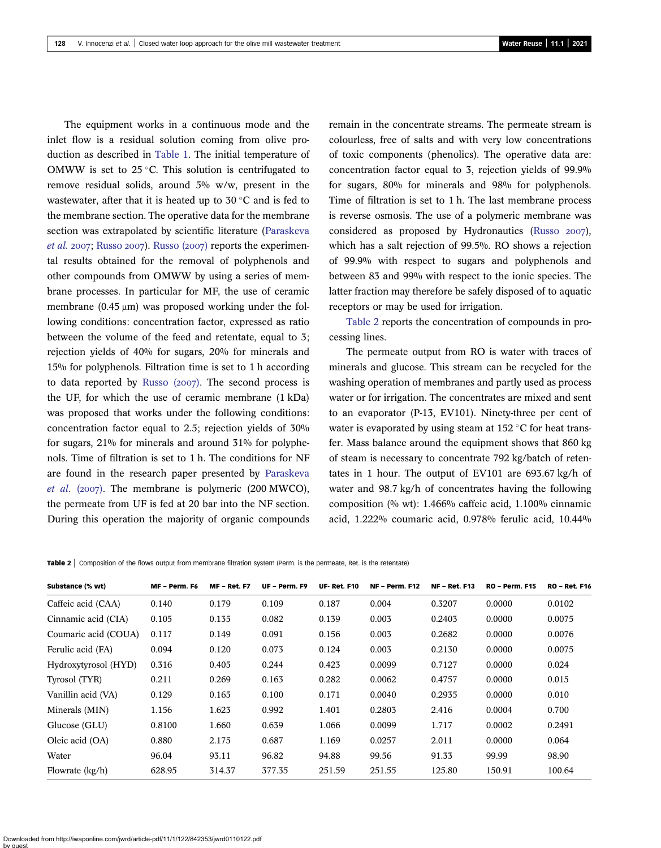The equipment works in a continuous mode and the inlet flow is a residual solution coming from olive production as described in [Table 1.](#page-4-0) The initial temperature of OMWW is set to  $25^{\circ}$ C. This solution is centrifugated to remove residual solids, around 5% w/w, present in the wastewater, after that it is heated up to  $30^{\circ}$ C and is fed to the membrane section. The operative data for the membrane section was extrapolated by scientific literature [\(Paraskeva](#page-13-0) *[et al.](#page-13-0)* 2007; [Russo](#page-13-0) 2007). [Russo \(](#page-13-0)2007) reports the experimental results obtained for the removal of polyphenols and other compounds from OMWW by using a series of membrane processes. In particular for MF, the use of ceramic membrane  $(0.45 \mu m)$  was proposed working under the following conditions: concentration factor, expressed as ratio between the volume of the feed and retentate, equal to 3; rejection yields of 40% for sugars, 20% for minerals and 15% for polyphenols. Filtration time is set to 1 h according to data reported by Russo  $(2007)$ . The second process is the UF, for which the use of ceramic membrane (1 kDa) was proposed that works under the following conditions: concentration factor equal to 2.5; rejection yields of 30% for sugars, 21% for minerals and around 31% for polyphenols. Time of filtration is set to 1 h. The conditions for NF are found in the research paper presented by [Paraskeva](#page-13-0) *[et al.](#page-13-0)* (2007). The membrane is polymeric (200 MWCO), the permeate from UF is fed at 20 bar into the NF section. During this operation the majority of organic compounds remain in the concentrate streams. The permeate stream is colourless, free of salts and with very low concentrations of toxic components (phenolics). The operative data are: concentration factor equal to 3, rejection yields of 99.9% for sugars, 80% for minerals and 98% for polyphenols. Time of filtration is set to 1 h. The last membrane process is reverse osmosis. The use of a polymeric membrane was considered as proposed by Hydronautics ([Russo](#page-13-0)  $2007$ ), which has a salt rejection of 99.5%. RO shows a rejection of 99.9% with respect to sugars and polyphenols and between 83 and 99% with respect to the ionic species. The latter fraction may therefore be safely disposed of to aquatic receptors or may be used for irrigation.

Table 2 reports the concentration of compounds in processing lines.

The permeate output from RO is water with traces of minerals and glucose. This stream can be recycled for the washing operation of membranes and partly used as process water or for irrigation. The concentrates are mixed and sent to an evaporator (P-13, EV101). Ninety-three per cent of water is evaporated by using steam at  $152 \degree C$  for heat transfer. Mass balance around the equipment shows that 860 kg of steam is necessary to concentrate 792 kg/batch of retentates in 1 hour. The output of EV101 are 693.67 kg/h of water and 98.7 kg/h of concentrates having the following composition (% wt): 1.466% caffeic acid, 1.100% cinnamic acid, 1.222% coumaric acid, 0.978% ferulic acid, 10.44%

**Table 2** Composition of the flows output from membrane filtration system (Perm. is the permeate, Ret. is the retentate)

| Substance (% wt)     | MF - Perm. F6 | <b>MF - Ret. F7</b> | UF - Perm. F9 | <b>UF-Ret. F10</b> | <b>NF - Perm. F12</b> | <b>NF - Ret. F13</b> | <b>RO - Perm. F15</b> | <b>RO - Ret. F16</b> |
|----------------------|---------------|---------------------|---------------|--------------------|-----------------------|----------------------|-----------------------|----------------------|
| Caffeic acid (CAA)   | 0.140         | 0.179               | 0.109         | 0.187              | 0.004                 | 0.3207               | 0.0000                | 0.0102               |
| Cinnamic acid (CIA)  | 0.105         | 0.135               | 0.082         | 0.139              | 0.003                 | 0.2403               | 0.0000                | 0.0075               |
| Coumaric acid (COUA) | 0.117         | 0.149               | 0.091         | 0.156              | 0.003                 | 0.2682               | 0.0000                | 0.0076               |
| Ferulic acid (FA)    | 0.094         | 0.120               | 0.073         | 0.124              | 0.003                 | 0.2130               | 0.0000                | 0.0075               |
| Hydroxytyrosol (HYD) | 0.316         | 0.405               | 0.244         | 0.423              | 0.0099                | 0.7127               | 0.0000                | 0.024                |
| Tyrosol (TYR)        | 0.211         | 0.269               | 0.163         | 0.282              | 0.0062                | 0.4757               | 0.0000                | 0.015                |
| Vanillin acid (VA)   | 0.129         | 0.165               | 0.100         | 0.171              | 0.0040                | 0.2935               | 0.0000                | 0.010                |
| Minerals (MIN)       | 1.156         | 1.623               | 0.992         | 1.401              | 0.2803                | 2.416                | 0.0004                | 0.700                |
| Glucose (GLU)        | 0.8100        | 1.660               | 0.639         | 1.066              | 0.0099                | 1.717                | 0.0002                | 0.2491               |
| Oleic acid (OA)      | 0.880         | 2.175               | 0.687         | 1.169              | 0.0257                | 2.011                | 0.0000                | 0.064                |
| Water                | 96.04         | 93.11               | 96.82         | 94.88              | 99.56                 | 91.33                | 99.99                 | 98.90                |
| Flowrate (kg/h)      | 628.95        | 314.37              | 377.35        | 251.59             | 251.55                | 125.80               | 150.91                | 100.64               |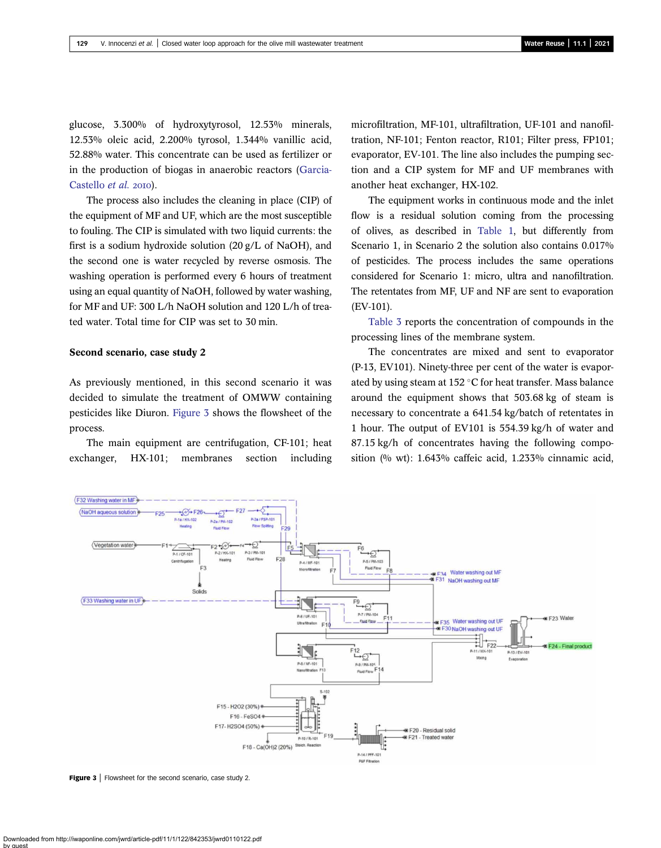<span id="page-7-0"></span>glucose, 3.300% of hydroxytyrosol, 12.53% minerals, 12.53% oleic acid, 2.200% tyrosol, 1.344% vanillic acid, 52.88% water. This concentrate can be used as fertilizer or in the production of biogas in anaerobic reactors [\(Garcia-](#page-13-0)[Castello](#page-13-0) et al. 2010).

The process also includes the cleaning in place (CIP) of the equipment of MF and UF, which are the most susceptible to fouling. The CIP is simulated with two liquid currents: the first is a sodium hydroxide solution (20 g/L of NaOH), and the second one is water recycled by reverse osmosis. The washing operation is performed every 6 hours of treatment using an equal quantity of NaOH, followed by water washing, for MF and UF: 300 L/h NaOH solution and 120 L/h of treated water. Total time for CIP was set to 30 min.

## Second scenario, case study 2

As previously mentioned, in this second scenario it was decided to simulate the treatment of OMWW containing pesticides like Diuron. Figure 3 shows the flowsheet of the process.

The main equipment are centrifugation, CF-101; heat exchanger, HX-101; membranes section including microfiltration, MF-101, ultrafiltration, UF-101 and nanofiltration, NF-101; Fenton reactor, R101; Filter press, FP101; evaporator, EV-101. The line also includes the pumping section and a CIP system for MF and UF membranes with another heat exchanger, HX-102.

The equipment works in continuous mode and the inlet flow is a residual solution coming from the processing of olives, as described in [Table 1,](#page-4-0) but differently from Scenario 1, in Scenario 2 the solution also contains 0.017% of pesticides. The process includes the same operations considered for Scenario 1: micro, ultra and nanofiltration. The retentates from MF, UF and NF are sent to evaporation (EV-101).

[Table 3](#page-8-0) reports the concentration of compounds in the processing lines of the membrane system.

The concentrates are mixed and sent to evaporator (P-13, EV101). Ninety-three per cent of the water is evaporated by using steam at 152  $\degree$ C for heat transfer. Mass balance around the equipment shows that 503.68 kg of steam is necessary to concentrate a 641.54 kg/batch of retentates in 1 hour. The output of EV101 is 554.39 kg/h of water and 87.15 kg/h of concentrates having the following composition (% wt): 1.643% caffeic acid, 1.233% cinnamic acid,



**Figure 3** Flowsheet for the second scenario, case study 2.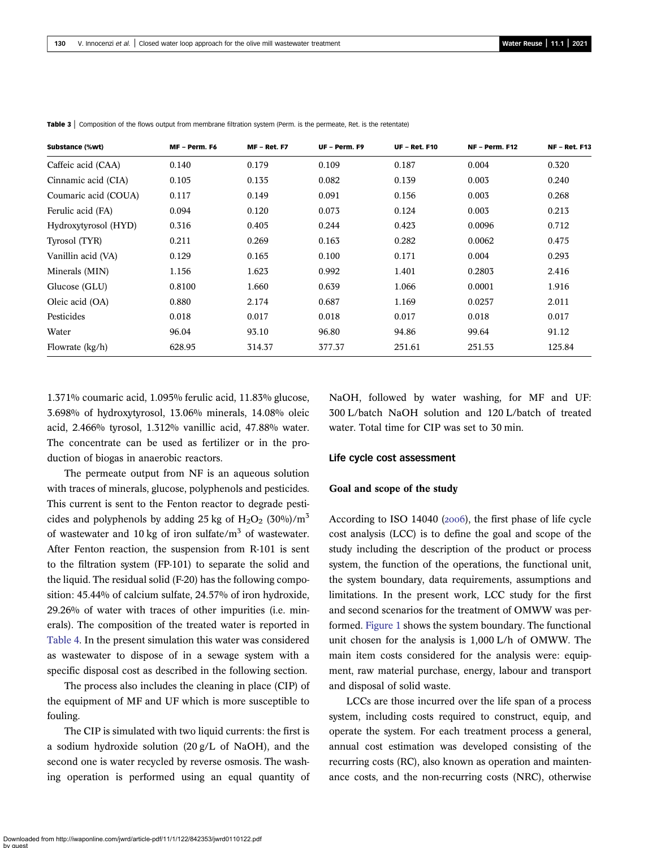| Substance (%wt)      | MF - Perm. F6 | <b>MF - Ret. F7</b> | UF - Perm. F9 | <b>UF - Ret. F10</b> | <b>NF - Perm. F12</b> | <b>NF - Ret. F13</b> |
|----------------------|---------------|---------------------|---------------|----------------------|-----------------------|----------------------|
| Caffeic acid (CAA)   | 0.140         | 0.179               | 0.109         | 0.187                | 0.004                 | 0.320                |
| Cinnamic acid (CIA)  | 0.105         | 0.135               | 0.082         | 0.139                | 0.003                 | 0.240                |
| Coumaric acid (COUA) | 0.117         | 0.149               | 0.091         | 0.156                | 0.003                 | 0.268                |
| Ferulic acid (FA)    | 0.094         | 0.120               | 0.073         | 0.124                | 0.003                 | 0.213                |
| Hydroxytyrosol (HYD) | 0.316         | 0.405               | 0.244         | 0.423                | 0.0096                | 0.712                |
| Tyrosol (TYR)        | 0.211         | 0.269               | 0.163         | 0.282                | 0.0062                | 0.475                |
| Vanillin acid (VA)   | 0.129         | 0.165               | 0.100         | 0.171                | 0.004                 | 0.293                |
| Minerals (MIN)       | 1.156         | 1.623               | 0.992         | 1.401                | 0.2803                | 2.416                |
| Glucose (GLU)        | 0.8100        | 1.660               | 0.639         | 1.066                | 0.0001                | 1.916                |
| Oleic acid (OA)      | 0.880         | 2.174               | 0.687         | 1.169                | 0.0257                | 2.011                |
| Pesticides           | 0.018         | 0.017               | 0.018         | 0.017                | 0.018                 | 0.017                |
| Water                | 96.04         | 93.10               | 96.80         | 94.86                | 99.64                 | 91.12                |
| Flowrate (kg/h)      | 628.95        | 314.37              | 377.37        | 251.61               | 251.53                | 125.84               |

<span id="page-8-0"></span>Table 3 | Composition of the flows output from membrane filtration system (Perm. is the permeate, Ret. is the retentate)

1.371% coumaric acid, 1.095% ferulic acid, 11.83% glucose, 3.698% of hydroxytyrosol, 13.06% minerals, 14.08% oleic acid, 2.466% tyrosol, 1.312% vanillic acid, 47.88% water. The concentrate can be used as fertilizer or in the production of biogas in anaerobic reactors.

The permeate output from NF is an aqueous solution with traces of minerals, glucose, polyphenols and pesticides. This current is sent to the Fenton reactor to degrade pesticides and polyphenols by adding 25 kg of  $H_2O_2$  (30%)/m<sup>3</sup> of wastewater and 10 kg of iron sulfate/ $m<sup>3</sup>$  of wastewater. After Fenton reaction, the suspension from R-101 is sent to the filtration system (FP-101) to separate the solid and the liquid. The residual solid (F-20) has the following composition: 45.44% of calcium sulfate, 24.57% of iron hydroxide, 29.26% of water with traces of other impurities (i.e. minerals). The composition of the treated water is reported in [Table 4](#page-9-0). In the present simulation this water was considered as wastewater to dispose of in a sewage system with a specific disposal cost as described in the following section.

The process also includes the cleaning in place (CIP) of the equipment of MF and UF which is more susceptible to fouling.

The CIP is simulated with two liquid currents: the first is a sodium hydroxide solution (20 g/L of NaOH), and the second one is water recycled by reverse osmosis. The washing operation is performed using an equal quantity of NaOH, followed by water washing, for MF and UF: 300 L/batch NaOH solution and 120 L/batch of treated water. Total time for CIP was set to 30 min.

## Life cycle cost assessment

#### Goal and scope of the study

According to ISO 14040 ( $2006$ ), the first phase of life cycle cost analysis (LCC) is to define the goal and scope of the study including the description of the product or process system, the function of the operations, the functional unit, the system boundary, data requirements, assumptions and limitations. In the present work, LCC study for the first and second scenarios for the treatment of OMWW was performed. [Figure 1](#page-3-0) shows the system boundary. The functional unit chosen for the analysis is 1,000 L/h of OMWW. The main item costs considered for the analysis were: equipment, raw material purchase, energy, labour and transport and disposal of solid waste.

LCCs are those incurred over the life span of a process system, including costs required to construct, equip, and operate the system. For each treatment process a general, annual cost estimation was developed consisting of the recurring costs (RC), also known as operation and maintenance costs, and the non-recurring costs (NRC), otherwise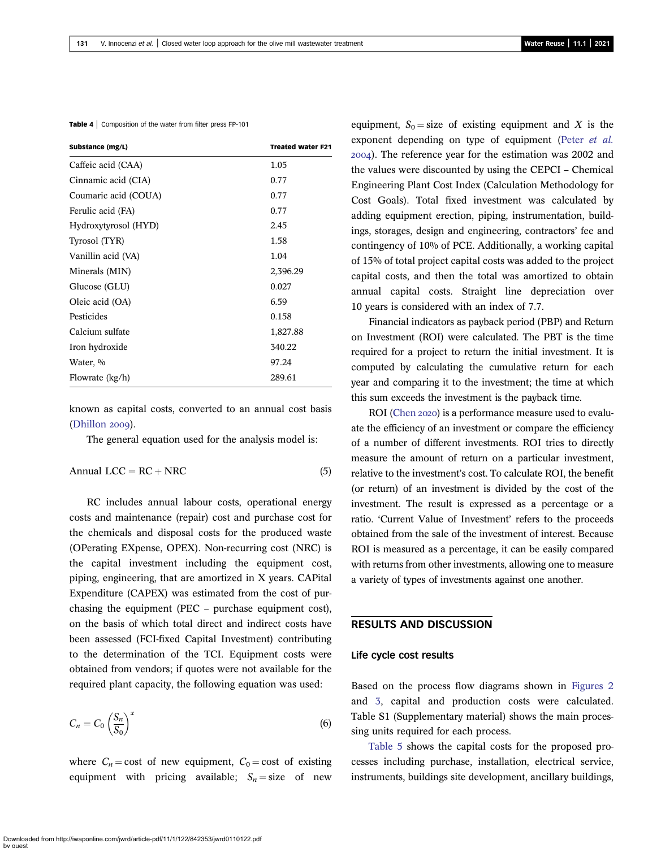<span id="page-9-0"></span>Table 4 | Composition of the water from filter press FP-101

| Substance (mg/L)     | <b>Treated water F21</b> |
|----------------------|--------------------------|
| Caffeic acid (CAA)   | 1.05                     |
| Cinnamic acid (CIA)  | 0.77                     |
| Coumaric acid (COUA) | 0.77                     |
| Ferulic acid (FA)    | 0.77                     |
| Hydroxytyrosol (HYD) | 2.45                     |
| Tyrosol (TYR)        | 1.58                     |
| Vanillin acid (VA)   | 1.04                     |
| Minerals (MIN)       | 2,396.29                 |
| Glucose (GLU)        | 0.027                    |
| Oleic acid (OA)      | 6.59                     |
| Pesticides           | 0.158                    |
| Calcium sulfate      | 1,827.88                 |
| Iron hydroxide       | 340.22                   |
| Water, %             | 97.24                    |
| Flowrate (kg/h)      | 289.61                   |

known as capital costs, converted to an annual cost basis  $(Dhillon 2009).$  $(Dhillon 2009).$ 

The general equation used for the analysis model is:

$$
Annual LCC = RC + NRC
$$
\n(5)

RC includes annual labour costs, operational energy costs and maintenance (repair) cost and purchase cost for the chemicals and disposal costs for the produced waste (OPerating EXpense, OPEX). Non-recurring cost (NRC) is the capital investment including the equipment cost, piping, engineering, that are amortized in X years. CAPital Expenditure (CAPEX) was estimated from the cost of purchasing the equipment (PEC – purchase equipment cost), on the basis of which total direct and indirect costs have been assessed (FCI-fixed Capital Investment) contributing to the determination of the TCI. Equipment costs were obtained from vendors; if quotes were not available for the required plant capacity, the following equation was used:

$$
C_n = C_0 \left(\frac{S_n}{S_0}\right)^x \tag{6}
$$

where  $C_n = \text{cost}$  of new equipment,  $C_0 = \text{cost}$  of existing equipment with pricing available;  $S_n = size$  of new equipment,  $S_0$  = size of existing equipment and X is the exponent depending on type of equipment (Peter [et al.](#page-13-0) ). The reference year for the estimation was 2002 and the values were discounted by using the CEPCI – Chemical Engineering Plant Cost Index (Calculation Methodology for Cost Goals). Total fixed investment was calculated by adding equipment erection, piping, instrumentation, buildings, storages, design and engineering, contractors' fee and contingency of 10% of PCE. Additionally, a working capital of 15% of total project capital costs was added to the project capital costs, and then the total was amortized to obtain annual capital costs. Straight line depreciation over 10 years is considered with an index of 7.7.

Financial indicators as payback period (PBP) and Return on Investment (ROI) were calculated. The PBT is the time required for a project to return the initial investment. It is computed by calculating the cumulative return for each year and comparing it to the investment; the time at which this sum exceeds the investment is the payback time.

ROI [\(Chen](#page-13-0) 2020) is a performance measure used to evaluate the efficiency of an investment or compare the efficiency of a number of different investments. ROI tries to directly measure the amount of return on a particular investment, relative to the investment's cost. To calculate ROI, the benefit (or return) of an investment is divided by the cost of the investment. The result is expressed as a percentage or a ratio. 'Current Value of Investment' refers to the proceeds obtained from the sale of the investment of interest. Because ROI is measured as a percentage, it can be easily compared with returns from other investments, allowing one to measure a variety of types of investments against one another.

# RESULTS AND DISCUSSION

#### Life cycle cost results

Based on the process flow diagrams shown in [Figures 2](#page-5-0) and [3](#page-7-0), capital and production costs were calculated. Table S1 (Supplementary material) shows the main processing units required for each process.

[Table 5](#page-10-0) shows the capital costs for the proposed processes including purchase, installation, electrical service, instruments, buildings site development, ancillary buildings,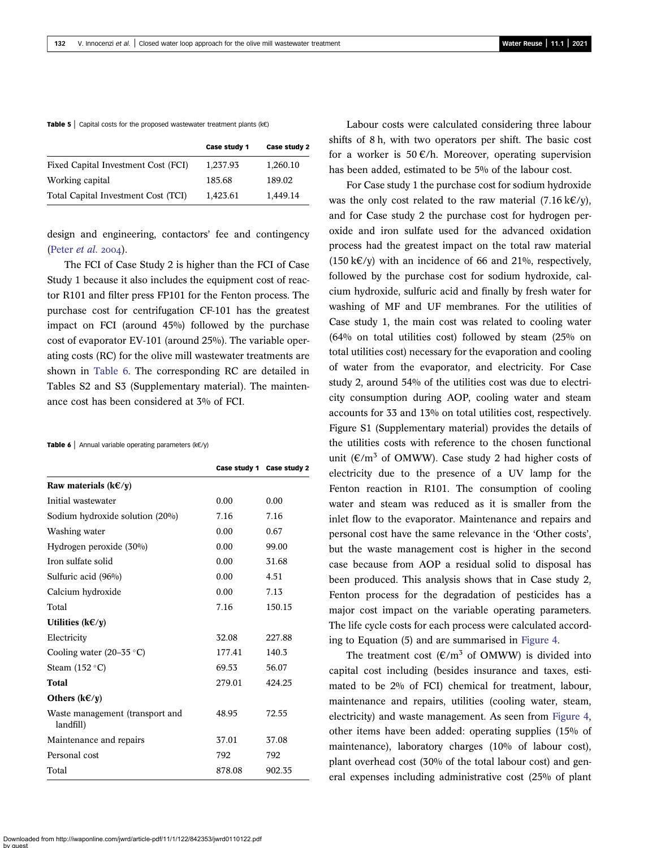#### <span id="page-10-0"></span>**Table 5** | Capital costs for the proposed wastewater treatment plants ( $k \in \mathbb{R}$ )

|                                     | Case study 1 | Case study 2 |
|-------------------------------------|--------------|--------------|
| Fixed Capital Investment Cost (FCI) | 1,237.93     | 1,260.10     |
| Working capital                     | 185.68       | 189.02       |
| Total Capital Investment Cost (TCI) | 1,423.61     | 1,449.14     |

design and engineering, contactors' fee and contingency ([Peter](#page-13-0) et al. 2004).

The FCI of Case Study 2 is higher than the FCI of Case Study 1 because it also includes the equipment cost of reactor R101 and filter press FP101 for the Fenton process. The purchase cost for centrifugation CF-101 has the greatest impact on FCI (around 45%) followed by the purchase cost of evaporator EV-101 (around 25%). The variable operating costs (RC) for the olive mill wastewater treatments are shown in Table 6. The corresponding RC are detailed in Tables S2 and S3 (Supplementary material). The maintenance cost has been considered at 3% of FCI.

#### Table 6 | Annual variable operating parameters (k€/y)

|                                              |        | Case study 1 Case study 2 |
|----------------------------------------------|--------|---------------------------|
| Raw materials ( $k \in y$ )                  |        |                           |
| Initial wastewater                           | 0.00   | 0.00                      |
| Sodium hydroxide solution (20%)              | 7.16   | 7.16                      |
| Washing water                                | 0.00   | 0.67                      |
| Hydrogen peroxide (30%)                      | 0.00   | 99.00                     |
| Iron sulfate solid                           | 0.00   | 31.68                     |
| Sulfuric acid (96%)                          | 0.00   | 4.51                      |
| Calcium hydroxide                            | 0.00   | 7.13                      |
| Total                                        | 7.16   | 150.15                    |
| Utilities ( $k \in \mathcal{F}(y)$ )         |        |                           |
| Electricity                                  | 32.08  | 227.88                    |
| Cooling water (20–35 $\degree$ C)            | 177.41 | 140.3                     |
| Steam $(152 \degree C)$                      | 69.53  | 56.07                     |
| Total                                        | 279.01 | 424.25                    |
| Others $(k \in \mathcal{F}/y)$               |        |                           |
| Waste management (transport and<br>landfill) | 48.95  | 72.55                     |
| Maintenance and repairs                      | 37.01  | 37.08                     |
| Personal cost                                | 792    | 792                       |
| Total                                        | 878.08 | 902.35                    |

Labour costs were calculated considering three labour shifts of 8 h, with two operators per shift. The basic cost for a worker is 50  $\epsilon$ /h. Moreover, operating supervision has been added, estimated to be 5% of the labour cost.

For Case study 1 the purchase cost for sodium hydroxide was the only cost related to the raw material (7.16 k€/y), and for Case study 2 the purchase cost for hydrogen peroxide and iron sulfate used for the advanced oxidation process had the greatest impact on the total raw material (150 k $\varepsilon$ /y) with an incidence of 66 and 21%, respectively, followed by the purchase cost for sodium hydroxide, calcium hydroxide, sulfuric acid and finally by fresh water for washing of MF and UF membranes. For the utilities of Case study 1, the main cost was related to cooling water (64% on total utilities cost) followed by steam (25% on total utilities cost) necessary for the evaporation and cooling of water from the evaporator, and electricity. For Case study 2, around 54% of the utilities cost was due to electricity consumption during AOP, cooling water and steam accounts for 33 and 13% on total utilities cost, respectively. Figure S1 (Supplementary material) provides the details of the utilities costs with reference to the chosen functional unit ( $\epsilon/m^3$  of OMWW). Case study 2 had higher costs of electricity due to the presence of a UV lamp for the Fenton reaction in R101. The consumption of cooling water and steam was reduced as it is smaller from the inlet flow to the evaporator. Maintenance and repairs and personal cost have the same relevance in the 'Other costs', but the waste management cost is higher in the second case because from AOP a residual solid to disposal has been produced. This analysis shows that in Case study 2, Fenton process for the degradation of pesticides has a major cost impact on the variable operating parameters. The life cycle costs for each process were calculated according to Equation (5) and are summarised in [Figure 4](#page-11-0).

The treatment cost  $(\mathcal{E}/m^3)$  of OMWW) is divided into capital cost including (besides insurance and taxes, estimated to be 2% of FCI) chemical for treatment, labour, maintenance and repairs, utilities (cooling water, steam, electricity) and waste management. As seen from [Figure 4](#page-11-0), other items have been added: operating supplies (15% of maintenance), laboratory charges (10% of labour cost), plant overhead cost (30% of the total labour cost) and general expenses including administrative cost (25% of plant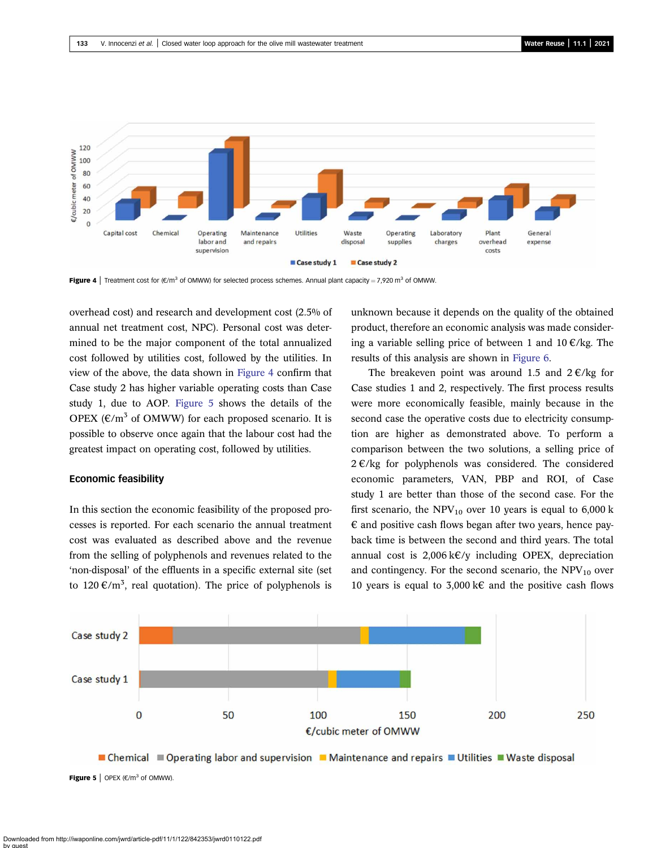<span id="page-11-0"></span>

**Figure 4** | Treatment cost for  $(\mathcal{E}/m^3$  of OMWW) for selected process schemes. Annual plant capacity = 7,920 m<sup>3</sup> of OMWW.

overhead cost) and research and development cost (2.5% of annual net treatment cost, NPC). Personal cost was determined to be the major component of the total annualized cost followed by utilities cost, followed by the utilities. In view of the above, the data shown in Figure 4 confirm that Case study 2 has higher variable operating costs than Case study 1, due to AOP. Figure 5 shows the details of the OPEX  $(\epsilon/m^3$  of OMWW) for each proposed scenario. It is possible to observe once again that the labour cost had the greatest impact on operating cost, followed by utilities.

#### Economic feasibility

In this section the economic feasibility of the proposed processes is reported. For each scenario the annual treatment cost was evaluated as described above and the revenue from the selling of polyphenols and revenues related to the 'non-disposal' of the effluents in a specific external site (set to 120  $\epsilon/m^3$ , real quotation). The price of polyphenols is

unknown because it depends on the quality of the obtained product, therefore an economic analysis was made considering a variable selling price of between 1 and  $10 \text{ E/kg}$ . The results of this analysis are shown in [Figure 6](#page-12-0).

The breakeven point was around 1.5 and  $2 \epsilon / \text{kg}$  for Case studies 1 and 2, respectively. The first process results were more economically feasible, mainly because in the second case the operative costs due to electricity consumption are higher as demonstrated above. To perform a comparison between the two solutions, a selling price of  $2 \in \mathcal{C}$  kg for polyphenols was considered. The considered economic parameters, VAN, PBP and ROI, of Case study 1 are better than those of the second case. For the first scenario, the  $NPV_{10}$  over 10 years is equal to 6,000 k  $\epsilon$  and positive cash flows began after two years, hence payback time is between the second and third years. The total annual cost is  $2,006 \text{ kVy}$  including OPEX, depreciation and contingency. For the second scenario, the  $NPV_{10}$  over 10 years is equal to 3,000 k€ and the positive cash flows



■ Chemical ■ Operating labor and supervision ■ Maintenance and repairs ■ Utilities ■ Waste disposal **Figure 5** | OPEX  $(\epsilon/m^3)$  of OMWW).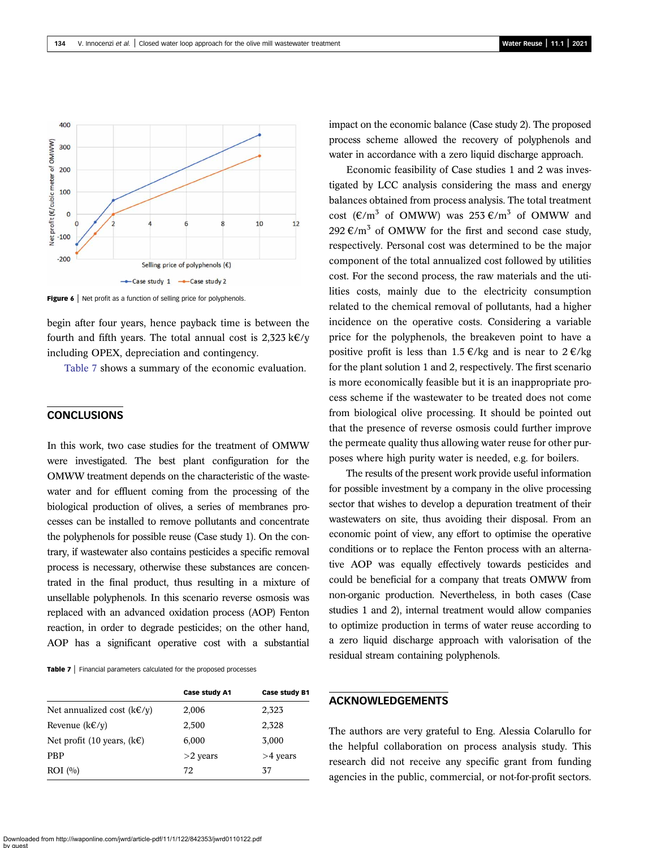<span id="page-12-0"></span>

Figure 6 | Net profit as a function of selling price for polyphenols.

begin after four years, hence payback time is between the fourth and fifth years. The total annual cost is  $2,323 \text{ k}\text{\textless}\ell/\text{v}$ including OPEX, depreciation and contingency.

Table 7 shows a summary of the economic evaluation.

# **CONCLUSIONS**

In this work, two case studies for the treatment of OMWW were investigated. The best plant configuration for the OMWW treatment depends on the characteristic of the wastewater and for effluent coming from the processing of the biological production of olives, a series of membranes processes can be installed to remove pollutants and concentrate the polyphenols for possible reuse (Case study 1). On the contrary, if wastewater also contains pesticides a specific removal process is necessary, otherwise these substances are concentrated in the final product, thus resulting in a mixture of unsellable polyphenols. In this scenario reverse osmosis was replaced with an advanced oxidation process (AOP) Fenton reaction, in order to degrade pesticides; on the other hand, AOP has a significant operative cost with a substantial

Table 7 | Financial parameters calculated for the proposed processes

|                                           | Case study A1 | <b>Case study B1</b> |
|-------------------------------------------|---------------|----------------------|
| Net annualized cost $(k \in \ell \vee v)$ | 2,006         | 2,323                |
| Revenue $(kE/y)$                          | 2,500         | 2,328                |
| Net profit (10 years, $(k \in)$ )         | 6,000         | 3,000                |
| <b>PBP</b>                                | $>2$ years    | $>4$ years           |
| ROI (%)                                   | 72            | 37                   |

impact on the economic balance (Case study 2). The proposed process scheme allowed the recovery of polyphenols and water in accordance with a zero liquid discharge approach.

Economic feasibility of Case studies 1 and 2 was investigated by LCC analysis considering the mass and energy balances obtained from process analysis. The total treatment cost ( $\epsilon/m^3$  of OMWW) was 253  $\epsilon/m^3$  of OMWW and 292 €/m<sup>3</sup> of OMWW for the first and second case study, respectively. Personal cost was determined to be the major component of the total annualized cost followed by utilities cost. For the second process, the raw materials and the utilities costs, mainly due to the electricity consumption related to the chemical removal of pollutants, had a higher incidence on the operative costs. Considering a variable price for the polyphenols, the breakeven point to have a positive profit is less than 1.5  $\epsilon$ /kg and is near to 2  $\epsilon$ /kg for the plant solution 1 and 2, respectively. The first scenario is more economically feasible but it is an inappropriate process scheme if the wastewater to be treated does not come from biological olive processing. It should be pointed out that the presence of reverse osmosis could further improve the permeate quality thus allowing water reuse for other purposes where high purity water is needed, e.g. for boilers.

The results of the present work provide useful information for possible investment by a company in the olive processing sector that wishes to develop a depuration treatment of their wastewaters on site, thus avoiding their disposal. From an economic point of view, any effort to optimise the operative conditions or to replace the Fenton process with an alternative AOP was equally effectively towards pesticides and could be beneficial for a company that treats OMWW from non-organic production. Nevertheless, in both cases (Case studies 1 and 2), internal treatment would allow companies to optimize production in terms of water reuse according to a zero liquid discharge approach with valorisation of the residual stream containing polyphenols.

# ACKNOWLEDGEMENTS

The authors are very grateful to Eng. Alessia Colarullo for the helpful collaboration on process analysis study. This research did not receive any specific grant from funding agencies in the public, commercial, or not-for-profit sectors.